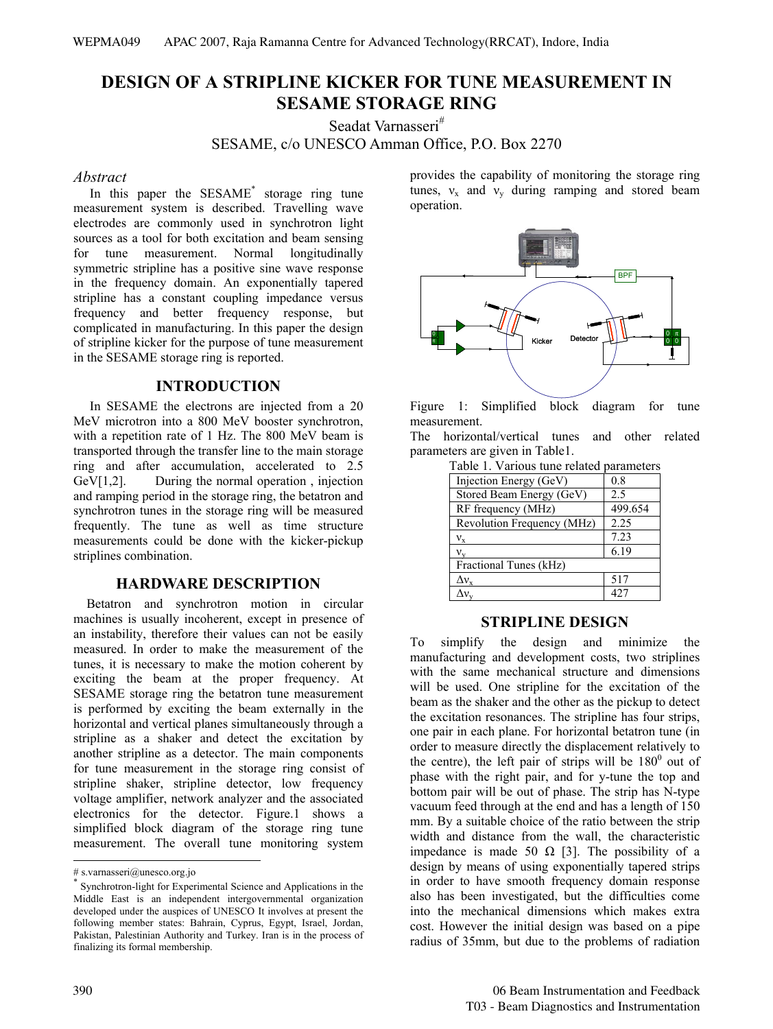# **DESIGN OF A STRIPLINE KICKER FOR TUNE MEASUREMENT IN SESAME STORAGE RING**

Seadat Varnasseri<sup>#</sup>

SESAME, c/o UNESCO Amman Office, P.O. Box 2270

### *Abstract*

In this paper the SESAME<sup>\*</sup> storage ring tune measurement system is described. Travelling wave electrodes are commonly used in synchrotron light sources as a tool for both excitation and beam sensing for tune measurement. Normal longitudinally symmetric stripline has a positive sine wave response in the frequency domain. An exponentially tapered stripline has a constant coupling impedance versus frequency and better frequency response, but complicated in manufacturing. In this paper the design of stripline kicker for the purpose of tune measurement in the SESAME storage ring is reported.

### **INTRODUCTION**

 In SESAME the electrons are injected from a 20 MeV microtron into a 800 MeV booster synchrotron, with a repetition rate of 1 Hz. The 800 MeV beam is transported through the transfer line to the main storage ring and after accumulation, accelerated to 2.5 GeV[1,2]. During the normal operation, injection and ramping period in the storage ring, the betatron and synchrotron tunes in the storage ring will be measured frequently. The tune as well as time structure measurements could be done with the kicker-pickup striplines combination.

# **HARDWARE DESCRIPTION**

 Betatron and synchrotron motion in circular machines is usually incoherent, except in presence of an instability, therefore their values can not be easily measured. In order to make the measurement of the tunes, it is necessary to make the motion coherent by exciting the beam at the proper frequency. At SESAME storage ring the betatron tune measurement is performed by exciting the beam externally in the horizontal and vertical planes simultaneously through a stripline as a shaker and detect the excitation by another stripline as a detector. The main components for tune measurement in the storage ring consist of stripline shaker, stripline detector, low frequency voltage amplifier, network analyzer and the associated electronics for the detector. Figure.1 shows a simplified block diagram of the storage ring tune measurement. The overall tune monitoring system provides the capability of monitoring the storage ring tunes,  $v_x$  and  $v_y$  during ramping and stored beam operation.



Figure 1: Simplified block diagram for tune measurement.

The horizontal/vertical tunes and other related parameters are given in Table1.

| Table 1. Various tune related parameters |         |
|------------------------------------------|---------|
| Injection Energy (GeV)                   | 0.8     |
| Stored Beam Energy (GeV)                 | 2.5     |
| RF frequency (MHz)                       | 499.654 |
| Revolution Frequency (MHz)               | 2.25    |
| $v_{\rm x}$                              | 7.23    |
| $\rm V_{\rm v}$                          | 6.19    |
| Fractional Tunes (kHz)                   |         |
| $\Delta v_{\rm x}$                       | 517     |
| Δν,                                      | 42.7    |

### **STRIPLINE DESIGN**

To simplify the design and minimize the manufacturing and development costs, two striplines with the same mechanical structure and dimensions will be used. One stripline for the excitation of the beam as the shaker and the other as the pickup to detect the excitation resonances. The stripline has four strips, one pair in each plane. For horizontal betatron tune (in order to measure directly the displacement relatively to the centre), the left pair of strips will be  $180^{\circ}$  out of phase with the right pair, and for y-tune the top and bottom pair will be out of phase. The strip has N-type vacuum feed through at the end and has a length of 150 mm. By a suitable choice of the ratio between the strip width and distance from the wall, the characteristic impedance is made 50  $\Omega$  [3]. The possibility of a design by means of using exponentially tapered strips in order to have smooth frequency domain response also has been investigated, but the difficulties come into the mechanical dimensions which makes extra cost. However the initial design was based on a pipe radius of 35mm, but due to the problems of radiation

l

<sup>#</sup> s.varnasseri@unesco.org.jo

<sup>\*</sup> Synchrotron-light for Experimental Science and Applications in the Middle East is an independent intergovernmental organization developed under the auspices of UNESCO It involves at present the following member states: Bahrain, Cyprus, Egypt, Israel, Jordan, Pakistan, Palestinian Authority and Turkey. Iran is in the process of finalizing its formal membership.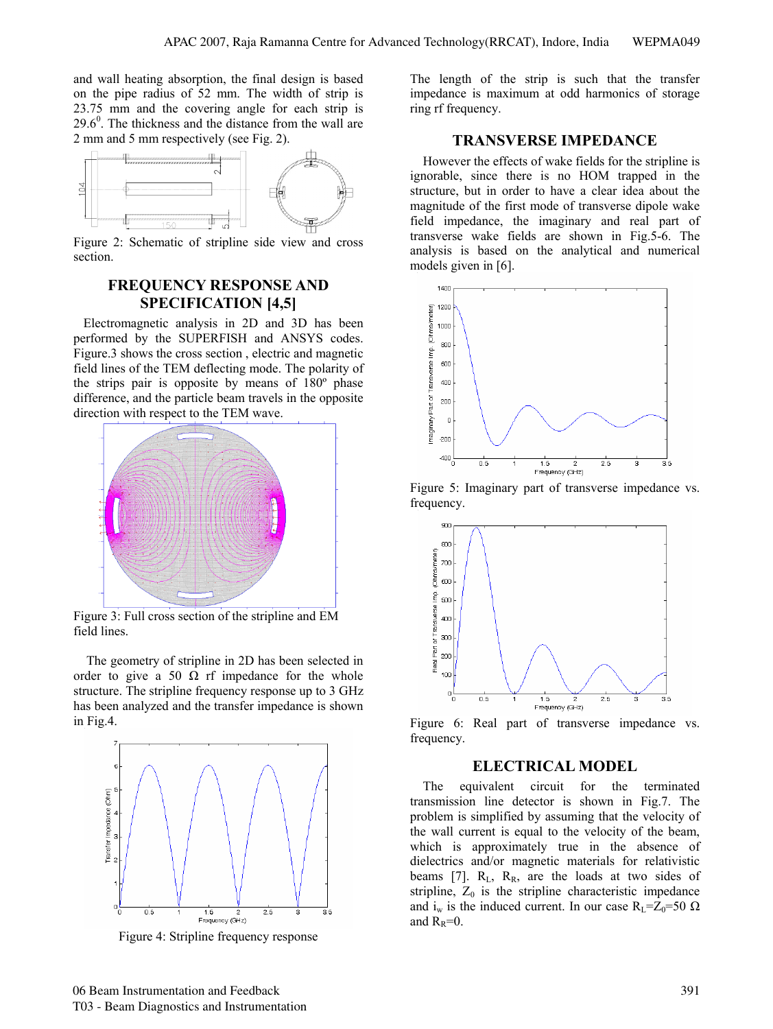and wall heating absorption, the final design is based on the pipe radius of 52 mm. The width of strip is 23.75 mm and the covering angle for each strip is  $29.6^{\circ}$ . The thickness and the distance from the wall are 2 mm and 5 mm respectively (see Fig. 2).



Figure 2: Schematic of stripline side view and cross section.

# **FREQUENCY RESPONSE AND SPECIFICATION [4,5]**

 Electromagnetic analysis in 2D and 3D has been performed by the SUPERFISH and ANSYS codes. Figure.3 shows the cross section , electric and magnetic field lines of the TEM deflecting mode. The polarity of the strips pair is opposite by means of 180º phase difference, and the particle beam travels in the opposite direction with respect to the TEM wave.



Figure 3: Full cross section of the stripline and EM field lines.

The geometry of stripline in 2D has been selected in order to give a 50  $\Omega$  rf impedance for the whole structure. The stripline frequency response up to 3 GHz has been analyzed and the transfer impedance is shown in Fig.4.



Figure 4: Stripline frequency response

The length of the strip is such that the transfer impedance is maximum at odd harmonics of storage ring rf frequency.

# **TRANSVERSE IMPEDANCE**

However the effects of wake fields for the stripline is ignorable, since there is no HOM trapped in the structure, but in order to have a clear idea about the magnitude of the first mode of transverse dipole wake field impedance, the imaginary and real part of transverse wake fields are shown in Fig.5-6. The analysis is based on the analytical and numerical models given in [6].



Figure 5: Imaginary part of transverse impedance vs. frequency.



Figure 6: Real part of transverse impedance vs. frequency.

### **ELECTRICAL MODEL**

The equivalent circuit for the terminated transmission line detector is shown in Fig.7. The problem is simplified by assuming that the velocity of the wall current is equal to the velocity of the beam, which is approximately true in the absence of dielectrics and/or magnetic materials for relativistic beams [7].  $R_L$ ,  $R_R$ , are the loads at two sides of stripline,  $Z_0$  is the stripline characteristic impedance and i<sub>w</sub> is the induced current. In our case R<sub>L</sub>=Z<sub>0</sub>=50  $\Omega$ and  $R_R=0$ .